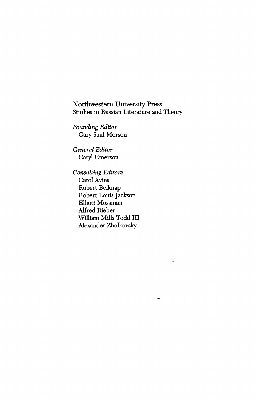**Northwestern University Press Studie s i n Russia n Literatur e an d Theor y** 

÷

*Founding Editor*  **Gar y Sau l Morso n** 

*General Editor*  **Cary l Emerso n** 

*Consulting Editors*  **Caro l Avin s Rober t Belkna p Rober t Loui s Jackso n Elliott Mossman Alfre d Riebe r Willia m Mill s Tod d III Alexande r Zholkovsk y**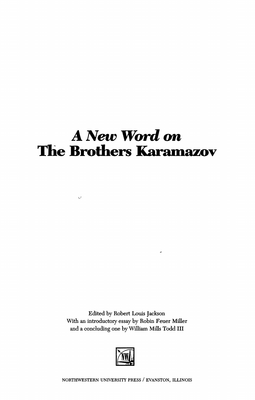# **A** *New Word on*  **The Brothers Karamazov**

 $\vec{v}$ 

**Edited by Robert Louis Jackson With an introductory essay by Robin Feuer Miller and a concluding one by William Mills Todd III** 



NORTHWESTERN UNIVERSITY PRESS / EVANSTON, ILLINOIS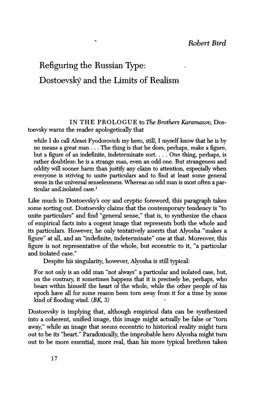# Refiguring the Russian Type: Dostoevsky and the Limits of Realism

**<sup>I</sup> N TH E PROLOGU E t o** *The Brothers Karamazov,* **Dos toevsk y warn s th e reade r apologeticall y tha t** 

**whil e I d o call Alexe i Fyodorovic h m y hero , still, I myself kno w that h e is b y n o mean s a great ma n . . . Th e thin g is that h e does, perhaps, mak e a figure, b u t a figure o f an indefinite , indeterminat e sort. . . . On e thing , perhaps, is rathe r doubtless: h e is a strange man , eve n an od d one . Bu t strangeness an d oddit y wil l soone r har m tha n justify an y clai m to attention, especiall y whe n everyone is striving to unit e particular s an d to find at least som e genera l sense i n the universa l senselessness. Wherea s a n od d ma n is most often a par ticular and isolated case.**<sup>1</sup>

Like much in Dostoevsky's coy and cryptic foreword, this paragraph takes **som e sortin g out. Dostoevsk y claim s tha t th e contemporar y tendenc y is "to unit e particulars, , an d find "genera l sense," tha t is, to synthesiz e th e chao s o f empirica l facts int o a cogen t imag e tha t represents bot h th e whol e an d**  its particulars. However, he only tentatively asserts that Alyosha "makes a **figure"** at all, and an "indefinite, indeterminate" one at that. Moreover, this **figure** is not representative of the whole, but eccentric to it, "a particular **and isolated case."** 

**Despit e his singularity , however , Alyosh a is still typical:** 

For not only is an odd man "not always" a particular and isolated case, but, **o n the contrary, it sometime s happen s that it is precisel y he , perhaps, wh o bear s withi n himself the hear t o f the whole , whil e the othe r peopl e o f his epoc h hav e all for som e reason bee n tor n away fro m it fo r a tim e b y som e**   $\boldsymbol{\lambda}$  kind of flooding wind.  $(BK, 3)$ 

**Dostoevsky** is implying that, although empirical data can be synthesized **into a coherent**, unified image, this image might actually be false or "torn **away," whil e a n imag e tha t seem s eccentri c t o historica l realit y migh t tur n o u t t o b e its "heart." Paradoxically , th e improbabl e her o Alyosh a migh t tur n out to be more essential, more real, than his more typical brethren taken**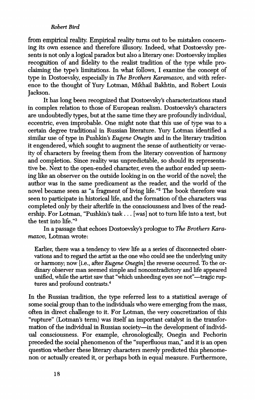**from empirical reality. Empirical reality turns out to be mistaken concerning its own essence and therefore illusory. Indeed, what Dostoevsky presents is not only a logical paradox but also a literary one: Dostoevsky implies recognition of and fidelity to the realist tradition of the type while proclaiming the type's limitations. In what follows, I examine the concept of type in Dostoevsky, especially in** *The Brothers Karamazov,* **and with reference to the thought of Yury Lotman, Mikhail Bakhtin, and Robert Louis Jackson.** 

**It has long been recognized that Dostoevsky's characterizations stand in complex relation to those of European realism. Dostoevsky's characters are undoubtedly types, but at the same time they are profoundly individual, eccentric, even improbable. One might note that this use of type was to a certain degree traditional in Russian literature. Yury Lotman identified a similar use of type in Pushkin's** *Eugene Onegin* **and in the literary tradition it engendered, which sought to augment the sense of authenticity or veracity of characters by freeing them from the literary convention of harmony and completion. Since reality was unpredictable, so should its representative be. Next to the open-ended character, even the author ended up seeming like an observer on the outside looking in on the world of the novel; the author was in the same predicament as the reader, and the world of the novel became seen as "a fragment of living life."<sup>2</sup> The book therefore was seen to participate in historical life, and the formation of the characters was completed only by their afterlife in the consciousness and lives of the readership. For Lotman, "Pushkin's task... [was] not to turn life into a text, but the text into life."<sup>3</sup>**

**In a passage that echoes Dostoevsky's prologue to** *The Brothers Karamazov,* **Lotman wrote:** 

**Earlier, there was a tendency to view life as a series of disconnected observations and to regard the artist as the one who could see the underlying unity or harmony; now [i.e., after** *Eugene Onegin]* **the reverse occurred. To the ordinary observer man seemed simple and noncontradictory and life appeared unified, while the artist saw that "which unheeding eyes see not"—tragic ruptures and profound contrasts.<sup>4</sup>**

**In the Russian tradition, the type referred less to a statistical average of some social group than to the individuals who were emerging from the mass, often in direct challenge to it. For Lotman, the very concretization of this "rupture" (Lotman's term) was itself an important catalyst in the transformation of the individual in Russian society—in the development of individual consciousness. For example, chronologically, Onegin and Pechorin preceded the social phenomenon of the "superfluous man," and it is an open question whether these literary characters merely predicted this phenomenon or actually created it, or perhaps both in equal measure. Furthermore,**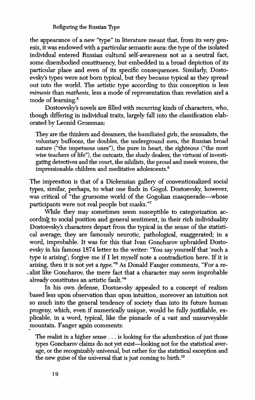**t h e appearanc e o f a ne w "type" i n literatur e mean t that, fro m its ver y gen esis, it was endowed with a particular semantic aura; the type of the isolated individual** entered Russian cultural self-awareness not as a neutral fact, **som e disembodie d constituency , bu t embedde d i n a broa d depictio n o f its particula r plac e an d eve n o f its specifi c consequences. Similarly , Dosto evsky's types wer e no t bor n typical, bu t the y becam e typica l as the y sprea d o u t int o th e world . Th e artisti c typ e accordin g t o this conceptio n is less**  *mimesis* **tha <sup>n</sup>** *mathesis,* **less a mod e o f representatio n tha n revelatio n an d a**  mode of learning.<sup>5</sup>

**Dostoevsky's novels are filled with recurring kinds of characters, who, though differing in individual traits, largely fall into the classification elaborate d b y Leoni d Grossman :** 

**The y ar e the thinker s an d dreamers, the humiliate d girls, the sensualists, the**  voluntary buffoons, the doubles, the underground men, the Russian broad **natur e ("the impetuou s ones"), the pur e i n heart, the righteous ("the most**  wise teachers of life"), the outcasts, the shady dealers, the virtuosi of investi**gating detective s an d the court, di e nihilists, the prou d an d mee k women , the**  impressionable children and meditative adolescents.<sup>6</sup>

**T h e impressio n is tha t o f a Dickensia n galler y o f conventionalize d socia l types, similar , perhaps, t o wha t on e finds i n Gogol . Dostoevsky , however , w a s critica l o f "the gruesom e worl d o f th e Gogolia n masquerade—whos e participants wer e no t rea l peopl e bu t masks." <sup>7</sup>**

While they may sometimes seem susceptible to categorization ac**cordin g t o socia l positio n an d genera l sentiment, i n thei r ric h individuaht y Dostoevsky's character s depar t fro m th e typica l i n th e sens e o f th e statistic a l average ; the y ar e famousl y neurotic , pathological , exaggerated ; i n a word , improbable . It wa s fo r this that Iva n Goncharo v upbraide d Dosto evsk y i n his famou s 187 4 lette r t o th e writer : "Yo u say yoursel f tha t 'suc h a type is arising'; forgiv e m e i f I le t mysel f not e a contradictio n here . If it is arising , the n it is no t ye t a** *type."<sup>8</sup>*  **A s Donal d Fange r comments , "Fo r a re - - alist like Goncharov , th e mer e fac t tha t a characte r ma <sup>y</sup>** *seem* **improbabl <sup>e</sup> alread y constitute s a n artisti c fault."<sup>9</sup>**

In his own defense, Dostoevsky appealed to a concept of realism **base d less upo n observatio n tha n upo n intuition , moreove r a n intuitio n no t so muc h int o th e genera l tendenc y o f societ y tha n int o its futur e huma n progeny**, which, even if numerically unique, would be fully justifiable, ex**plicable , i n a word , typical, lik e th e pinnacl e o f a vast an d unsurveyabl e mountain . Fange r agai n comments:** 

**The realist in a higher sense ... is looking for the adumbration of just those types Goncharo v claims d o no t ye t exist—lookin g no t for the statistical aver**  age, or the recognizably universal, but rather for the statistical exception and **the ne w guis e o f the universa l that is just comin g to birth. <sup>1</sup> <sup>0</sup>**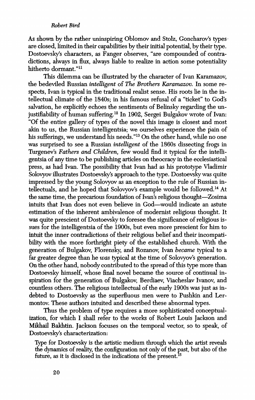**A s show n b y th e rathe r uninspirin g Oblomo v an d Stolz , Goncharov's type s a r e closed , limite d i n thei r capabilitie s b y thei r initia l potential , b y thei r type .**  Dostoevsky's characters, as Fanger observes, "are compounded of contra**dictions, alway s i n flux, always liabl e to realiz e i n actio n som e potentialit y**   $h$ itherto dormant."<sup>11</sup>

**Thi s dilemm a ca n b e illustrate d b y th e characte r o f Iva n Karamazov , t h e bedevile d Russia <sup>n</sup>** *intelligent***<sup>o</sup> <sup>f</sup>** *The Brothers Karamazov.***<sup>I</sup> n som e re spects, Iva n is typica l i n th e traditiona l realist sense . Hi s roots li e i n th e in tellectua l climat e o f th e 1840s; i n his famou s refusa l o f a "ticket" to God s salvation, h e explicitl y echoe s th e sentiments o f Belinsk y regardin g th e un justifiability of human suffering.** <sup>12</sup> In 1902, Sergei Bulgakov wrote of Ivan: **" O f th e entir e galler y o f type s o f th e nove l this imag e is closest an d most aki n t o us, th e Russia n intelligentsia ; w e ourselve s experienc e th e pai n o f his sufferings, we understand his needs."<sup>13</sup> On the other hand, while no one was surprise d to se e a Russia <sup>n</sup>** *intelligent***<sup>o</sup> f th e 1860s dissectin g frog s i <sup>n</sup>** Turgenev's Fathers and Children, few would find it typical for the intelli**gentsia o f an y tim e to b e publishin g article s o n theocrac y i n th e ecclesiastica l**  press, as had Ivan. The possibility that Ivan had as his prototype Vladimir Solovyov illustrates Dostoevsky's approach to the type. Dostoevsky was quite **impresse d b y th e youn g Solovyo v as a n exceptio n t o th e rul e o f Russia n in tellectuals, and he hoped that Solovyov's example would be followed.<sup>1</sup> At the sam e time , th e precariou s foundatio n o f Ivan s religious thought—Zosim a intuits tha t Iva n doe s no t eve n believ e i n God—woul d indicat e a n astut e estimatio n o f th e inheren t ambivalenc e o f modernist religiou s thought. It was quit e prescien t o f Dostoevsk y t o forese e th e significanc e o f religiou s issues fo r th e intelligentsi a o f th e 1900s, bu t eve n mor e prescien t fo r hi m t o intuit th e inne r contradiction s o f thei r religiou s belie f an d thei r incompati bilit y wit h th e mor e forthrigh t piet y o f th e establishe d church . Wit h th e generatio n o f Bulgakov , Florensky , an d Rozanov , Iva <sup>n</sup>** *became* **typica l to a far greate r degre e tha n h e** *was* **typica l at th e tim e o f Solovyov s generation . O n th e othe r hand , nobod y contribute d t o th e sprea d o f this typ e mor e tha n Dostoevsk y himself, whos e final nove l becam e th e sourc e o f continua l in spiration fo r th e generatio n o f Bulgakov , Berdiaev , Viachesla v Ivanov, an d**  countless others. The religious intellectual of the early 1900s was just as indebted to Dostoevsky as the superfluous men were to Pushkin and Ler**montov . Thes e author s intuite d an d describe d thes e abnorma l types.** 

**Thu s th e proble m o f typ e require s a mor e sophisticate d conceptual**  ization, for which I shall refer to the works of Robert Louis Jackson and **Mikhai l Bakhtin . Jackso n focuse s o n th e tempora l vector , so to speak, o f Dostoevsky's characterization:** 

Type for Dostoevsky is the artistic medium through which the artist reveals **the dynamic s o f reality, the configuration no t onl y o f the past, bu t also o f the future , as it is disclose d i n the indications o f the present. <sup>1</sup> <sup>5</sup>**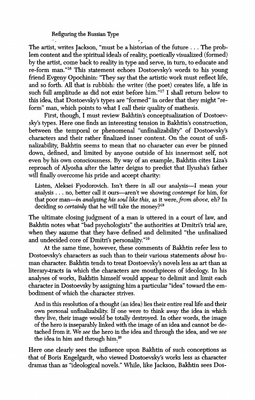**T h e artist, write s Jackson , "must b e a historia n o f th e futur e . . . Th e prob l e m conten t an d th e spiritua l ideals o f reality, poeticall y visualize d (formed ) b y th e artist, com e bac k to realit y i n typ e an d serve , i n turn , t o educat e an d re-form man.**"<sup>16</sup> This statement echoes Dostoevsky's words to his young **frien d Evgen y Opochinin : "The y say tha t th e artisti c wor k mus t reflec t life , a n d so forth . Al l tha t is rubbish : th e write r (the poet) create s life , a lif e i n suc h ful l amplitud e as di d no t exist befor e him." <sup>1</sup> <sup>7</sup> I shal l retur n belo w t o this idea , tha t Dostoevsky's type s ar e "formed " i n orde r tha t the y migh t "re form " man , whic h points t o wha t I cal l thei r qualit y o f mathesis.** 

**First, though , I must revie w Bakhtin's conceptualizatio n o f Dostoev**  sky's types. Here one finds an interesting tension in Bakhtin's construction, **betwee n th e tempora l o r phenomena l "unfinalizability" o f Dostoevsky's character s an d thei r rathe r finalized inne r content. O n th e coun t o f unfinalizability , Bakhti n seem s t o mea n tha t n o characte r ca n eve r b e pinne d down , defined , an d limite d b y anyon e outsid e o f his innermost self, no t eve n b y his ow n consciousness. B y wa y o f a n example , Bakhti n cite s Liza s reproac h o f Alyosh a afte r th e latte r deign s t o predic t tha t Ilyusha's fathe r wil l finally overcom e his prid e an d accep t charity :** 

Listen, Aleksei Fyodorovich. Isn't there in all our analysis—I mean your **analysis .. . no , bette r call it ours—aren't w e showin <sup>g</sup>** *contempt* **for him , for that poo <sup>r</sup> man—***in analyzing his soul like this,* **as it were ,** *from above,* **eh ? I n**  deciding so *certainly* that he will take the money?<sup>18</sup>

The ultimate closing judgment of a man is uttered in a court of law, and **Bakhti n note s wha t "ba d psychologists " th e authoritie s at Dmitri's tria l are ,**  when they assume that they have defined and delimited "the unfinalized and undecided core of Dmitri's personality."<sup>19</sup>

**A t th e sam e time , however , thes e comment s o f Bakhti n refe r less t o**  Dostoevsky's characters as such than to their various statements *about* hu**m a n character . Bakhti n tend s t o trea t Dostoevsky's novels less as ar t tha n as literary-tracts i n whic h the character s ar e mouthpiece s o f ideology . I n his analyse s o f works, Bakhti n himsel f woul d appea r t o defimit an d limit eac h characte r i n Dostoevsk y b y assignin g hi m a particula r "idea" towar d th e em bodimen t o f whic h th e characte r strives.** 

**A n d i n this resolution o f a though t (an idea) lies thei r entir e rea l life an d thei r o w n persona l unfinalizability. If one wer e to thin k away the ide a i n whic h the y live, thei r imag e woul d b e totally destroyed. I n othe r words, the imag e o f the her o is inseparabl y linke d wit h the imag e o f a n ide a an d canno t b e de tache d fro m it. W e** *see* **the her o i n the ide a an d throug h the idea , an d w e** *see*  **the ide a i n hi m an d throug h him. <sup>2</sup> <sup>0</sup>**

**Her e on e clearl y sees the influenc e upo n Bakhti n o f suc h conception s as tha t o f Boris Engelgardt , wh o viewe d Dostoevsky's work s less as characte r drama s tha n as "ideologica l novels." While , lik e Jackson , Bakhti n see s Dos -**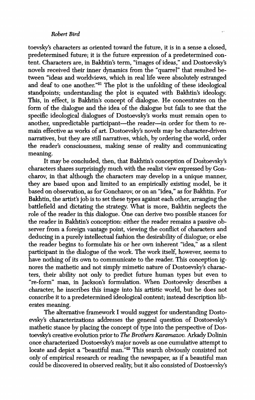**toevsky's characters as oriented toward the future, it is in a sense a closed, predetermined future; it is the future expression of a predetermined con**tent. Characters are, in Bakhtin's term, "images of ideas," and Dostoevsky's **novels received their inner dynamics from the "quarrel" that resulted between "ideas and worldviews, which in real life were absolutely estranged and deaf to one another."<sup>21</sup> The plot is the unfolding of these ideological standpoints; understanding the plot is equated with Bakhtin's ideology. This, in effect, is Bakhtin's concept of dialogue. He concentrates on the form of the dialogue and thé idea of the dialogue but fails to see that the specific ideological dialogues of Dostoevsky's works must remain open to another, unpredictable participant—the reader—in order for them to re**main effective as works of art. Dostoevsky's novels may be character-driven **narratives, but they are still narratives, which, by ordering the world, order**  the reader's consciousness, making sense of reality and communicating **meaning.** 

It may be concluded, then, that Bakhtin's conception of Dostoevsky's **characters shares surprisingly much with the realist view expressed by Goncharov, in that although the characters may develop in a unique manner, they are based upon and limited to an empirically existing model, be it based on observation, as for Goncharov, or on an "idea," as for Bakhtin. For**  Bakhtin, the artist's job is to set these types against each other, arranging the **battlefield and dictating the strategy. What is more, Bakhtin neglects the role of the reader in this dialogue. One can derive two possible stances for the reader in Bakhtin's conception: either the reader remains a passive observer from a foreign vantage point, viewing the conflict of characters and deducing in a purely intellectual fashion the desirability of dialogue; or else the reader begins to formulate his or her own inherent "idea," as a silent participant in the dialogue of the work. The work itself, however, seems to have nothing of its own to communicate to the reader. This conception ig**nores the mathetic and not simply mimetic nature of Dostoevsky's charac**ters, their ability not only to predict future human types but even to "re-form" man, in Jackson's formulation. When Dostoevsky describes a character, he inscribes this image into his artistic world, but he does not conscribe it to a predetermined ideological content; instead description liberates meaning.** 

**The alternative framework I would suggest for understanding Dostoevsky's characterizations addresses the general question of Dostoevsky's mathetic stance by placing the concept of type into the perspective of Dostoevsky's creative evolution prior to** *The Brothers Karamazov.* **Arkady Dohnin once characterized Dostoevsky's major novels as one cumulative attempt to locate and depict a "beautiful man."<sup>22</sup> This search obviously consisted not only of empirical research or reading the newspaper, as if a beautiful man could be discovered in observed reality, but it also consisted of Dostoevsky s**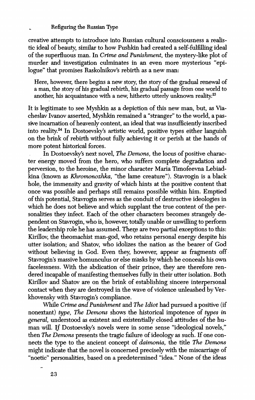creative attempts to introduce into Russian cultural consciousness a realis**ti c idea l o f beauty , simila r t o ho w Pushki n ha d create d a self-fulfillin g idea l o f th e superfluou s man . I n** *Crime and Punishment,* **th e mystery-lik e plo t o f**  murder and investigation culminates in an even more mysterious "epilogue" that promises Raskolnikov's rebirth as a new man:

Here, however, there begins a new story, the story of the gradual renewal of **a man , the story o f his gradua l rebirth , his gradua l passage fro m on e worl d to**  another, his acquaintance with a new, hitherto utterly unknown reality.<sup>23</sup>

It is legitimate to see Myshkin as a depiction of this new man, but, as Via**chesla v Ivano v asserted, Myshki n remaine d a "stranger" to th e world , a passive incarnatio n o f heavenl y content, a n idea l tha t was insufficientl y inscribe d into reality.<sup>24</sup> In Dostoevsky's artistic world, positive types either languish o n th e brin k o f rebirt h withou t full y achievin g it o r peris h at th e hand s o f mor e poten t historica l forces.** 

In Dostoevsky's next novel, The Demons, the locus of positive character energy moved from the hero, who suffers complete degradation and **perversion , to th e heroine , th e mino r characte r Mari a Timofeevn a Lebiad kina** (known as *Khromonozhka*, "the lame creature"). Stavrogin is a black **hole , th e immensit y an d gravit y o f whic h hints at th e positiv e conten t tha t onc e wa s possibl e an d perhap s still remain s possibl e withi n him . Emptie d o f this potential , Stavrogi n serve s as th e condui t o f destructiv e ideologie s i n whic h h e doe s no t believ e an d whic h supplan t th e tru e conten t o f th e per sonalitie s the y infect. Eac h o f th e othe r character s become s strangel y de pendent** on Stavrogin, who is, however, totally unable or unwilling to perform **t h e leadershi p rol e h e has assumed . Ther e ar e tw o partia l exception s t o this: Kirillov , th e theomachist man-god , wh o retains persona l energ y despit e his utte r isolation; an d Shatov , wh o idolize s th e natio n as th e beare r o f Go d**  without believing in God. Even they, however, appear as fragments off **Stavrogi n s massiv e homunculu s o r els e mask s b y whic h h e conceals his ow n facelessness. Wit h th e abdicatio n o f thei r prince , the y ar e therefor e ren dere d incapabl e o f manifestin g themselve s full y i n thei r utte r isolation. Bot h Kirillo v an d Shato v ar e o n th e brin k o f establishin g sincer e interpersona l contac t whe n the y ar e destroye d i n th e wav e o f violenc e unleashe d b y Ver**  khovensky with Stavrogin's compliance.

**Whil <sup>e</sup>** *Crime and Punishment* **an <sup>d</sup>** *The Idiot* **ha d pursue d a positiv e (if nonextant)** *type, The Demons* **shows th e historica l impotenc e o f** *types in general,* **understoo d as existent an d existentiall y close d attitude s o f th e hu**  man will. If Dostoevsky's novels were in some sense "ideological novels," **the n** *The Demons* **presents th e tragi c failur e o f ideolog y as such . If on e con nects th e typ e t o th e ancien t concep t o f** *daimonia,* **th e titl e** *The Demons*  **migh t indicat e tha t th e nove l is concerne d precisel y wit h th e miscarriag e o f**  "noetic" personalities, based on a predetermined "idea." None of the ideas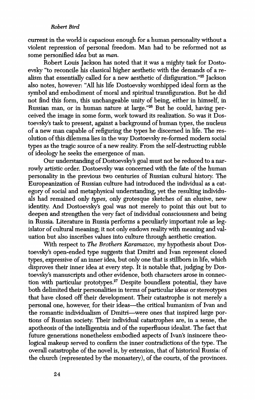**current in the world is capacious enough for a human personality without a violent repression of personal freedom. Man had to be reformed not as some personified** *idea* **but as** *man.* 

**Robert Louis Jackson has noted that it was a mighty task for Dostoevsky "to reconcile his classical higher aesthetic with the demands of a realism that essentially called for a new aesthetic of disfiguration."<sup>25</sup> Jackson also notes, however: "All his life Dostoevsky worshipped ideal form as the symbol and embodiment of moral and spiritual transfiguration. But he did not find this form, this unchangeable unity of being, either in himself, in Russian man, or in human nature at large."<sup>26</sup> But he could, having perceived the image in some form, work toward its realization. So was it Dostoevsky's task to present, against a background of human types, the nucleus of a new man capable of refiguring the types he discerned in life. The resolution of this dilemma lies in the way Dostoevsky re-formed modern social types as the tragic source of a new reality. From the self-destructing rubble of ideology he seeks the emergence of man.** 

**Our understanding of Dostoevskys goal must not be reduced to a narrowly artistic order. Dostoevsky was concerned with the fate of the human personality in the previous two centuries of Russian cultural history. The Europeanization of Russian culture had introduced the individual as a category of social and metaphysical understanding, yet the resulting individuals had remained only** *types,* **only grotesque sketches of an elusive, new identity. And Dostoevsky's goal was not merely to point this out but to deepen and strengthen the very fact of individual consciousness and being in Russia. Literature in Russia performs a peculiarly important role as legislator of cultural meaning; it not only endows reality with meaning and valuation but also inscribes values into culture through aesthetic creation.** 

**With respect to** *The Brothers Karamazov,* **my hypothesis about Dostoevsky's open-ended type suggests that Dmitri and Ivan represent closed types, expressive of an inner idea, but only one that is stillborn in life, which disproves their inner idea at every step. It is notable that, judging by Dostoevskys manuscripts and other evidence, both characters arose in connection with particular prototypes.<sup>27</sup> Despite boundless potential, they have both delimited their personalities in terms of particular ideas or stereotypes that have closed off their development. Their catastrophe is not merely a personal one, however, for their ideas—the critical humanism of Ivan and the romantic individualism of Dmitri—were ones that inspired large portions of Russian society. Their individual catastrophes are, in a sense, the apotheosis of the intelligentsia and of the superfluous idealist. The fact that future generations nonetheless embodied aspects of Ivan's insincere theological makeup served to confirm the inner contradictions of the type. The overall catastrophe of the novel is, by extension, that of historical Russia: of the church (represented by the monastery), of the courts, of the provinces.**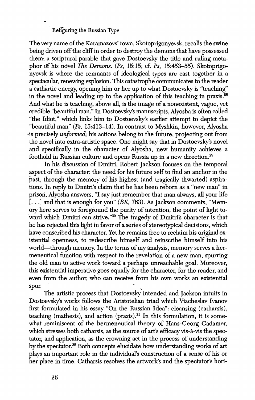**The very name of the Karamazovs' town, Skotoprigonyevsk, recalls the** *swine*  **being driven off the cliff in order to destroy the demons that have possessed**  them, a scriptural parable that gave Dostoevsky the title and ruling meta**phor df his novel** *The Demons. (Ps,* **15:15; cf.** *Ps,* **15:453-55). Skotoprigonyevsk is where the remnants of ideological types are cast together in a spectacular, renewing explosion. This catastrophe communicates to the reader a cathartic energy, opening him or her up to what Dostoevsky is "teaching" in the novel and leading up to the application of this teaching in praxis.<sup>28</sup> And what he is teaching, above all, is the image of a nonexistent, vague, yet credible "beautiful man." In Dostoevsky's manuscripts, Alyosha is often called "the Idiot," which links him to Dostoevskys earlier attempt to depict the "beautiful man"** *(Ps,* **15:413-14). In contrast to Myshkin, however, Alyosha -is precisely** *unformed;* **his actions belong to the future, projecting out from the novel into extra-artistic space. One might say that in Dostoevskys novel and specifically in the character of Alyosha, new humanity achieves a foothold in Russian culture and opens Russia up in a new direction.<sup>29</sup>**

**In his discussion of Dmitri, Robert Jackson focuses on the temporal aspect of the character: the need for his future self to find an anchor in the past, through the memory of his highest (and tragically thwarted) aspirations. In reply to Dmitri's claim that he has been reborn as a "new man" in prison, Alyosha answers, "I say just remember that man always, all your life [. . .] and that is enough for you"** *(BK,* **763). As Jackson comments, "Memory here serves to foreground the purity of intention, the point of fight toward which Dmitri can strive."<sup>30</sup> The tragedy of Dmitris character is that he has rejected this fight in favor of a series of stereotypical decisions, which have conscribed his character. Yet he remains free to reclaim his original existential openness, to redescribe himself and reinscribe himself into his world—through memory. In the terms of my analysis, memory serves a hermeneutical function with respect to the revelation of a new man, spurring the old man to active work toward a perhaps unreachable goal. Moreover, this existential imperative goes equally for the character, for the reader, and even from the author, who can receive from his own works an existential**  spur.

**The artistic process that Dostoevsky intended and Jackson intuits in Dostoevskys works follows the Aristotelian triad which Viacheslav Ivanov first formulated in his essay "On the Russian Idea": cleansing (catharsis), teaching (mathesis), and action (praxis).<sup>31</sup> In this formulation, it is some**what reminiscent of the hermeneutical theory of Hans-Georg Gadamer, which stresses both catharsis, as the source of art's efficacy vis-à-vis the spec**tator, and application, as the crowning act in the process of understanding by the spectator.<sup>32</sup> Both concepts elucidate how understanding works of art plays an important role in the individuals construction of a sense of his or**  her place in time. Catharsis resolves the artwork's and the spectator's hori-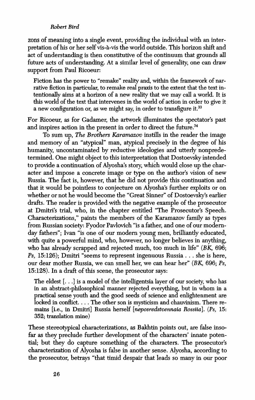**zons of meaning into a single event, providing the individual with an interpretation of his or her self vis-a-vis the world outside. This horizon shift and act of understanding is then constitutive of the continuum that grounds all future acts of understanding. At a similar level of generality, one can draw support from Paul Ricoeur:** 

**Fiction has the power to "remake" reality and, within the framework of narrative fiction in particular, to remake real praxis to the extent that the text intentionally aims at a horizon of a new reality that we may call a world. It is this world of the text that intervenes in the world of action in order to give it a new configuration or, as we might say, in order to transfigure it.<sup>33</sup>**

For Ricoeur, as for Gadamer, the artwork illuminates the spectator's past **and inspires action in the present in order to direct the future.<sup>34</sup>**

**To sum up,** *The Brothers Karamazov* **instills in the reader the image and memory of an "atypical" man, atypical precisely in the degree of his humanity, uncontaminated by reductive ideologies and utterly nonpredetermined. One might object to this interpretation that Dostoevsky intended**  to provide a continuation of Alyosha's story, which would close up the character and impose a concrete image or type on the author's vision of new **Russia. The fact is, however, that he did not provide this continuation and**  that it would be pointless to conjecture on Alyosha's further exploits or on whether or not he would become the "Great Sinner" of Dostoevsky's earlier **drafts. The reader is provided with the negative example of the prosecutor**  at Dmitri's trial, who, in the chapter entitled "The Prosecutor's Speech. **Characterizations," paints the members of the Karamazov family as types from Russian society: Fyodor Pavlovich "is a father, and one of our modernday fathers"; Ivan "is one of our modern young men, brilliandy educated,**  with quite a powerful mind, who, however, no longer believes in anything, **who has already scrapped and rejected much, too much in life"** *(BK,* **696;**  *Ps<sup>y</sup>*  **15:126); Dmitri "seems to represent ingenuous Russia . . . she is here, our dear mother Russia, we can smell her, we can hear her"** *(BK,* **696;** *Ps,*  **15:128). In a draft of this scene, the prosecutor says:** 

**The eldest [. ..] is a model of the intelligentsia layer of our society, who has in an abstract-philosophical manner rejected everytning, but in whom in a practical sense youth and the good seeds of science and enlightenment are locked in conflict. .. . The other son is mysticism and chauvinism. There remains [i.e., in Dmitri] Russia herself** *[neposredstvennaia Rossiia]. (Ps,* **15: 352; translation mine)** 

**These stereotypical characterizations, as Bakhtin points out, are false insofar as they preclude further development of the characters' innate potential; but they do capture something of the characters. The prosecutors characterization of Alyosha is false in another sense. Alyosha, according to the prosecutor, betrays "that timid despair that leads so many in our poor**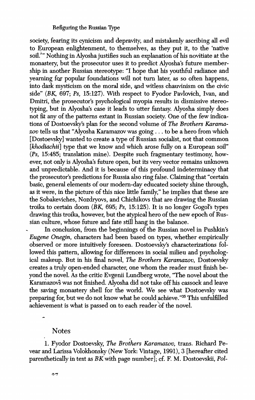**society, fearing its cynicism and depravity, and mistakenly ascribing all evil to European enhghtenment, to themselves, as they put it, to the 'native soil/" Nothing in Alyosha justifies such an explanation of his novitiate at the**  monastery, but the prosecutor uses it to predict Alyosha's future member**ship in another Russian stereotype: "I hope that his youthful radiance and yearning for popular foundations will not turn later, as so often happens,**  into dark mysticism on the moral side, and witless chauvinism on the civic **side"** *(BK,* **697;** *Ps,* **15:127). With respect to Fyodor Pavlovich, Ivan, and**  Dmitri, the prosecutor's psychological myopia results in dismissive stereo**typing, but in Alyoshas case it leads to utter fantasy. Alyosha simply does not fit any of the patterns extant in Russian society. One of the few indica**tions of Dostoevsky's plan for the second volume of The Brothers Karama*zov* **tells us that "Alyosha Karamazov was going .. . to be a hero from which [Dostoevsky] wanted to create a type of Russian socialist, not that common**  *[khodidchii]* **type that we know and which arose fully on a European soil"**  *(Ps,* **15:485; translation mine). Despite such fragmentary testimony, how**ever, not only is Alyosha's future open, but its very vector remains unknown **and unpredictable. And it is because of this profound indeterminacy that**  the prosecutor's predictions for Russia also ring false. Claiming that "certain **basic, general elements of our modern-day educated society shine through, as it were, in the picture of this nice little family," he implies that these are the Sobakeviches, Nozdryovs, and Chichikovs that are drawing the Russian troika to certain doom** *(BK,* **695;** *Ps,* **15:125). It is no longer Gogol's types drawing this troika, however, but the atypical hero of the new epoch of Russian culture, whose future and fate still hang in the balance.** 

**In conclusion, from the beginnings of the Russian novel in Pushkin's**  *Eugene Onegin,* **characters had been based on types, whether empirically**  observed or more intuitively foreseen. Dostoevsky's characterizations fol**lowed this pattern, allowing for differences in social milieu and psychological makeup. But in his final novel,** *The Brothers Karamazov,* **Dostoevsky creates a truly open-ended character, one whom the reader must finish beyond the novel. As the critic Evgenii Lundberg wrote, 'The novel about the Karamazovs was not finished. Alyosha did not take off his cassock and leave the saving monastery shell for the world. We see what Dostoevsky was preparing for, but we do not know what he could achieve."<sup>35</sup> This unfulfilled achievement is what is passed on to each reader of the novel.** 

## **Notes**

**1. Fyodor Dostoevsky,** *The Brothers Karamazov,* **trans. Richard Pevear and Larissa Volokhonsky (New York: Vintage, 1991), 3 [hereafter cited parenthetically in text as** *BK* **with page number]; cf. F. M. Dostoevskij** *Pol-*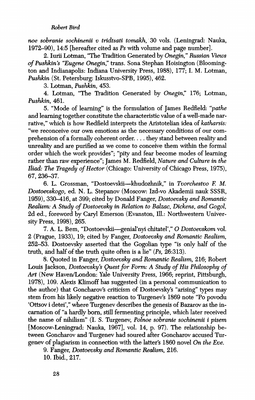*noe sobranie sochinenii v tridtsati tomakh,* **30 vols. (Leningrad: Nauka, 1972-90), 14:5 [hereafter cited as** *Ps* **with volume and page number].** 

**2. Iurii Lotman, 'The Tradition Generated by** *Onegin" Russian Views of Pushkin's "Eugene Onegin"* **trans. Sona Stephan Hoisington (Bloomington and Indianapolis: Indiana University Press, 1988), 177; I. M. Lotman,**  *Pushkin* **(St. Petersburg: Iskusstvo-SPB, 1995), 462.** 

**3. Lotman,** *Pushkin,* **453.** 

**4. Lotman, "The Tradition Generated by** *Onegin"* **176; Lotman,**  *Pushkin,* **461.** 

**5. "Mode of learning" is the formulation of James Redfield:** *"pathe*  **and learning together constitute the characteristic value of a well-made narrative," which is how Redfield interprets the Aristotelian idea of** *katharsis:*  **"we reconceive our own emotions as the necessary conditions of our comprehension of a formally coherent order.. .. they stand between reality and unreality and are purified as we come to conceive them within the formal order which the work provides"; "pity and fear become modes of learning rather than raw experience"; James M. Redfield,** *Nature and Culture in the Iliad: The Tragedy of Hector* **(Chicago: University of Chicago Press, 1975), 67, 236-37.** 

**6. L. Grossman, "Dostoevskii—khudozhnik," in** *Tvorchestvo F. M. Dostoevskogo,* **ed. N. L. Stepanov (Moscow: Izd-vo Akademii nauk SSSR, 1959), 330-416, at 399; cited by Donald Fanger,** *Dostoevsky and Romantic Realism: A Study of Dostoevsky in Relation to Balzac, Dickens, and Gogol,*  2d ed., foreword by Caryl Emerson (Evanston, Ill.: Northwestern Univer**sity Press, 1998), 265.** 

7. A. L. Bem, "Dostoevskii—genial'nyi chitatel'," O Dostoevskom vol. **2 (Prague, 1933), 19; cited by Fanger,** *Dostoevsky and Romantic Realism,*  **252-53. Dostoevsky asserted that the Gogolian type "is only half of the truth, and half of the truth quite often is a lie"** *(Ps,* **26:313).** 

**8. Quoted in Fanger,** *Dostoevsky and Romantic Realism,* **216; Robert Louis Jackson,** *Dostoevsky's Quest for Form: A Study of His Philosophy of Art* **(New Haven/London: Yale University Press, 1966; reprint, Pittsburgh, 1978), 109. Alexis Klimoff has suggested (in a personal communication to**  the author) that Goncharov's criticism of Dostoevsky's "arising" types may stem from his likely negative reaction to Turgenev's 1869 note "Po povodu **'Ottsov i detei'," where Turgenev describes the genesis of Bazarov as the incarnation of "a hardly born, still fermenting principle, which later received the name of nihilism" (I. S. Turgenev,** *Polnoe sobranie sochinenii i pisem*  **[Moscow-Leningrad: Nauka, 1967], vol. 14, p. 97). The relationship between Goncharov and Turgenev had soured after Goncharov accused Turgenev of plagiarism in connection with the latter's 1860 novel** *On the Eve.* 

**9. Fanger,** *Dostoevsky and Romantic Realism,* **216.** 

**10. Ibid., 217.**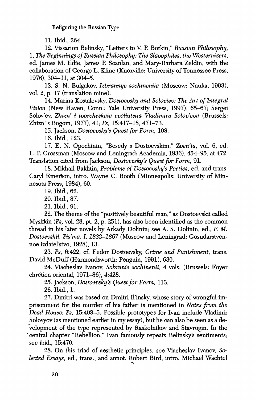**11. Ibid., 264.** 

**12. Vissarion Belinsky, "Letters to V. P. Botkin,"** *Russian Philosophy,*  **1,** *TheKBeginnings of Russian Philosophy: The Slavophiles, the Westernizers,*  **ed. James M. Edie, James P. Scanlan, and Mary-Barbara Zeldin, with the collaboration of George L. Kline (Knoxville: University of Tennessee Press, 1976), 304-11, at 304-5.** 

**13. S. N. Bulgakov,** *Izbrannye sochineniia* **(Moscow: Nauka, 1993), vol. 2, p. 17 (translation mine).** 

**14. Marina Kostalevsky,** *Dostoevsky and Soloviev: The Art of Integral Vision* **(New Haven, Conn.: Yale University Press, 1997), 65-67; Sergei**  Solov'ev, Zhizn' i tvorcheskaia evoliutsiia Vladimira Solov'eva (Brussels: **Zhizn s Bogom, 1977), 41;** *Ps,* **15:417-18, 471-73.** 

**15. Jackson,** *Dostoevsky's Quest for Form,* **108.** 

**16. Ibid, 123.** 

**17. E. N. Opocliinin, "Besedy s Dostoevskim,"** *Zven'ia,* **vol. 6, ed. L. P. Grossman (Moscow and Leningrad: Academia, 1936), 454-95, at 472. Translation cited from Jackson,** *Dostoevsky's Quest for Form,* **91.** 

**18. Mikhail Bakhtin,** *Problems of Dostoevsky's Poetics,* **ed. and trans.**  Caryl Emerson, intro. Wayne C. Booth (Minneapolis: University of Min**nesota Press, 1984), 60.** 

**19. Ibid, 62.** 

**20. Ibid, 87.** 

**21. Ibid, 91.** 

**22. The theme of the "positively beautiful man," as Dostoevskii called Myshkin** *(Ps,* **vol. 28, pt. 2, p. 251), has also been identified as the common thread in his later novels by Arkady Dolinin; see A. S. Dolinin, ed,** *F.* **M.**  *Dostoevskii. Pis'ma. I. 1832-1867* **(Moscow and Leningrad: Gosudarstven**noe izdatel'stvo, 1928), 13.

**23.** *Ps,* **6:422; cf. Fedor Dostoevsky,** *Crime and Punishment,* **trans. David McDuff (Harmondsworth: Penguin, 1991), 630.** 

**24. Viacheslav Ivanov,** *Sobranie sochinenii,* **4 vols. (Brussels: Foyer**  chrétien oriental, 1971-86), 4:428.

**25. Jackson,** *Dostoevsky's Quest for Form,* **113.** 

**26. Ibid, 1.** 

27. Dmitri was based on Dmitri Il'insky, whose story of wrongful im**prisonment for the murder of his father is mentioned in** *Notes from the Dead House; Ps,* **15:403-5. Possible prototypes for Ivan include Vladimir Solovyov (as mentioned earlier in my essay), but he can also be seen as a development of the type represented by Raskolnikov and Stavrogin. In the "central chapter "Rebellion," Ivan famously repeats Belinskys sentiments; see ibid, 15:470.** 

**28. On this triad of aesthetic principles, see Viacheslav Ivanov,** *Selected Essays,* **ed, trans, and annot. Robert Bird, intro. Michael Wachtel**